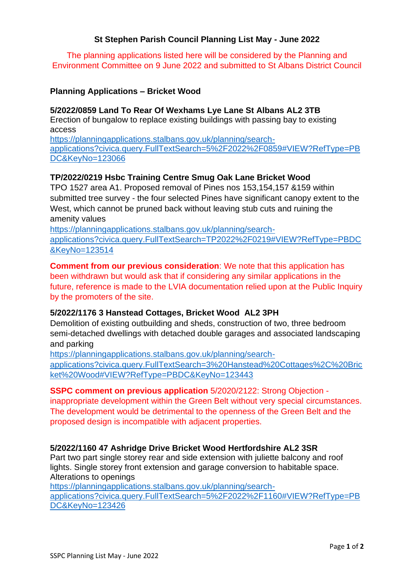## **St Stephen Parish Council Planning List May - June 2022**

The planning applications listed here will be considered by the Planning and Environment Committee on 9 June 2022 and submitted to St Albans District Council

#### **Planning Applications – Bricket Wood**

#### **5/2022/0859 Land To Rear Of Wexhams Lye Lane St Albans AL2 3TB**

Erection of bungalow to replace existing buildings with passing bay to existing access

https://planningapplications.stalbans.gov.uk/planning/searchapplications?civica.query.FullTextSearch=5%2F2022%2F0859#VIEW?RefType=PB DC&KeyNo=123066

### **TP/2022/0219 Hsbc Training Centre Smug Oak Lane Bricket Wood**

TPO 1527 area A1. Proposed removal of Pines nos 153,154,157 &159 within submitted tree survey - the four selected Pines have significant canopy extent to the West, which cannot be pruned back without leaving stub cuts and ruining the amenity values

https://planningapplications.stalbans.gov.uk/planning/search-

applications?civica.query.FullTextSearch=TP2022%2F0219#VIEW?RefType=PBDC &KeyNo=123514

**Comment from our previous consideration**: We note that this application has been withdrawn but would ask that if considering any similar applications in the future, reference is made to the LVIA documentation relied upon at the Public Inquiry by the promoters of the site.

### **5/2022/1176 3 Hanstead Cottages, Bricket Wood AL2 3PH**

Demolition of existing outbuilding and sheds, construction of two, three bedroom semi-detached dwellings with detached double garages and associated landscaping and parking

https://planningapplications.stalbans.gov.uk/planning/searchapplications?civica.query.FullTextSearch=3%20Hanstead%20Cottages%2C%20Bric ket%20Wood#VIEW?RefType=PBDC&KeyNo=123443

#### **SSPC comment on previous application** 5/2020/2122: Strong Objection -

inappropriate development within the Green Belt without very special circumstances. The development would be detrimental to the openness of the Green Belt and the proposed design is incompatible with adjacent properties.

### **5/2022/1160 47 Ashridge Drive Bricket Wood Hertfordshire AL2 3SR**

Part two part single storey rear and side extension with juliette balcony and roof lights. Single storey front extension and garage conversion to habitable space. Alterations to openings

https://planningapplications.stalbans.gov.uk/planning/search-

applications?civica.query.FullTextSearch=5%2F2022%2F1160#VIEW?RefType=PB DC&KeyNo=123426